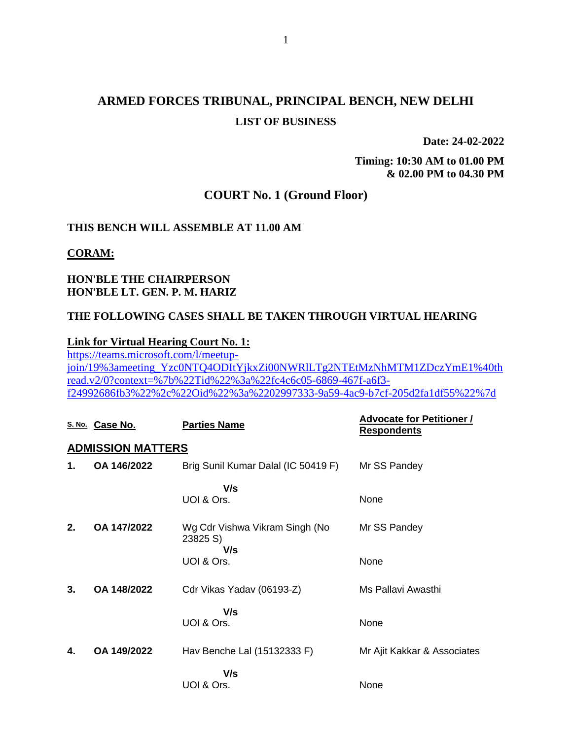# **ARMED FORCES TRIBUNAL, PRINCIPAL BENCH, NEW DELHI LIST OF BUSINESS**

**Date: 24-02-2022**

**Timing: 10:30 AM to 01.00 PM & 02.00 PM to 04.30 PM**

### **COURT No. 1 (Ground Floor)**

### **THIS BENCH WILL ASSEMBLE AT 11.00 AM**

#### **CORAM:**

### **HON'BLE THE CHAIRPERSON HON'BLE LT. GEN. P. M. HARIZ**

#### **THE FOLLOWING CASES SHALL BE TAKEN THROUGH VIRTUAL HEARING**

#### **Link for Virtual Hearing Court No. 1:**

[https://teams.microsoft.com/l/meetup](https://teams.microsoft.com/l/meetup-join/19%3ameeting_Yzc0NTQ4ODItYjkxZi00NWRlLTg2NTEtMzNhMTM1ZDczYmE1%40thread.v2/0?context=%7b%22Tid%22%3a%22fc4c6c05-6869-467f-a6f3-f24992686fb3%22%2c%22Oid%22%3a%2202997333-9a59-4ac9-b7cf-205d2fa1df55%22%7d)[join/19%3ameeting\\_Yzc0NTQ4ODItYjkxZi00NWRlLTg2NTEtMzNhMTM1ZDczYmE1%40th](https://teams.microsoft.com/l/meetup-join/19%3ameeting_Yzc0NTQ4ODItYjkxZi00NWRlLTg2NTEtMzNhMTM1ZDczYmE1%40thread.v2/0?context=%7b%22Tid%22%3a%22fc4c6c05-6869-467f-a6f3-f24992686fb3%22%2c%22Oid%22%3a%2202997333-9a59-4ac9-b7cf-205d2fa1df55%22%7d) [read.v2/0?context=%7b%22Tid%22%3a%22fc4c6c05-6869-467f-a6f3](https://teams.microsoft.com/l/meetup-join/19%3ameeting_Yzc0NTQ4ODItYjkxZi00NWRlLTg2NTEtMzNhMTM1ZDczYmE1%40thread.v2/0?context=%7b%22Tid%22%3a%22fc4c6c05-6869-467f-a6f3-f24992686fb3%22%2c%22Oid%22%3a%2202997333-9a59-4ac9-b7cf-205d2fa1df55%22%7d) [f24992686fb3%22%2c%22Oid%22%3a%2202997333-9a59-4ac9-b7cf-205d2fa1df55%22%7d](https://teams.microsoft.com/l/meetup-join/19%3ameeting_Yzc0NTQ4ODItYjkxZi00NWRlLTg2NTEtMzNhMTM1ZDczYmE1%40thread.v2/0?context=%7b%22Tid%22%3a%22fc4c6c05-6869-467f-a6f3-f24992686fb3%22%2c%22Oid%22%3a%2202997333-9a59-4ac9-b7cf-205d2fa1df55%22%7d)

|    | S. No. Case No.          | <b>Parties Name</b>                               | <b>Advocate for Petitioner /</b><br><b>Respondents</b> |
|----|--------------------------|---------------------------------------------------|--------------------------------------------------------|
|    | <b>ADMISSION MATTERS</b> |                                                   |                                                        |
| 1. | OA 146/2022              | Brig Sunil Kumar Dalal (IC 50419 F)               | Mr SS Pandey                                           |
|    |                          | V/s<br>UOI & Ors.                                 | None                                                   |
| 2. | OA 147/2022              | Wg Cdr Vishwa Vikram Singh (No<br>23825 S)<br>V/s | Mr SS Pandey                                           |
|    |                          | UOI & Ors.                                        | None                                                   |
| 3. | OA 148/2022              | Cdr Vikas Yadav (06193-Z)                         | Ms Pallavi Awasthi                                     |
|    |                          | V/s<br>UOI & Ors.                                 | None                                                   |
| 4. | OA 149/2022              | Hav Benche Lal (15132333 F)                       | Mr Ajit Kakkar & Associates                            |
|    |                          | V/s<br>UOI & Ors.                                 | None                                                   |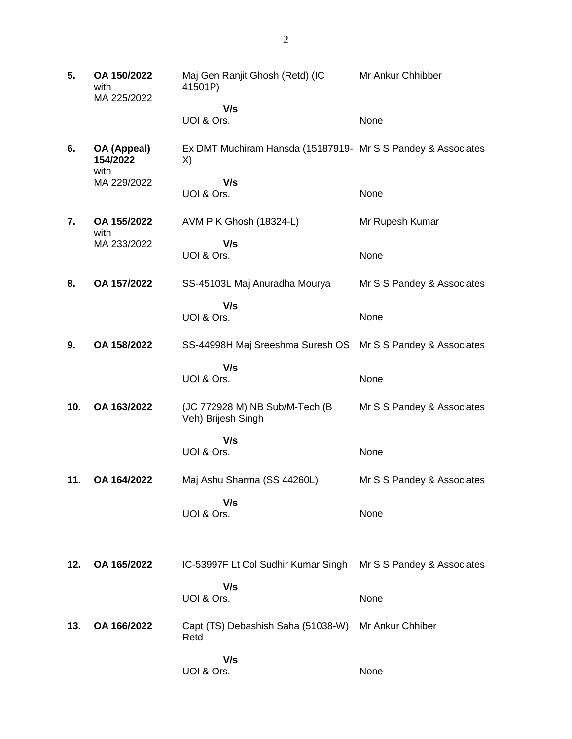| 5.  | OA 150/2022<br>with<br>MA 225/2022 | Maj Gen Ranjit Ghosh (Retd) (IC<br>41501P)                         | Mr Ankur Chhibber          |
|-----|------------------------------------|--------------------------------------------------------------------|----------------------------|
|     |                                    | V/s                                                                |                            |
|     |                                    | UOI & Ors.                                                         | None                       |
| 6.  | OA (Appeal)<br>154/2022<br>with    | Ex DMT Muchiram Hansda (15187919- Mr S S Pandey & Associates<br>X) |                            |
|     | MA 229/2022                        | V/s                                                                |                            |
|     |                                    | UOI & Ors.                                                         | None                       |
| 7.  | OA 155/2022<br>with                | AVM P K Ghosh (18324-L)                                            | Mr Rupesh Kumar            |
|     | MA 233/2022                        | V/s<br>UOI & Ors.                                                  | None                       |
|     |                                    |                                                                    |                            |
| 8.  | OA 157/2022                        | SS-45103L Maj Anuradha Mourya                                      | Mr S S Pandey & Associates |
|     |                                    | V/s                                                                |                            |
|     |                                    | UOI & Ors.                                                         | None                       |
| 9.  | OA 158/2022                        | SS-44998H Maj Sreeshma Suresh OS                                   | Mr S S Pandey & Associates |
|     |                                    | V/s                                                                |                            |
|     |                                    | UOI & Ors.                                                         | None                       |
| 10. | OA 163/2022                        | (JC 772928 M) NB Sub/M-Tech (B)<br>Veh) Brijesh Singh              | Mr S S Pandey & Associates |
|     |                                    | V/s                                                                |                            |
|     |                                    | UOI & Ors.                                                         | None                       |
| 11. | OA 164/2022                        | Maj Ashu Sharma (SS 44260L)                                        | Mr S S Pandey & Associates |
|     |                                    | V/s                                                                |                            |
|     |                                    | UOI & Ors.                                                         | None                       |
|     |                                    |                                                                    |                            |
| 12. | OA 165/2022                        | IC-53997F Lt Col Sudhir Kumar Singh                                | Mr S S Pandey & Associates |
|     |                                    | V/s<br>UOI & Ors.                                                  | None                       |
|     |                                    |                                                                    |                            |
| 13. | OA 166/2022                        | Capt (TS) Debashish Saha (51038-W)<br>Retd                         | Mr Ankur Chhiber           |
|     |                                    | V/s                                                                |                            |
|     |                                    | UOI & Ors.                                                         | None                       |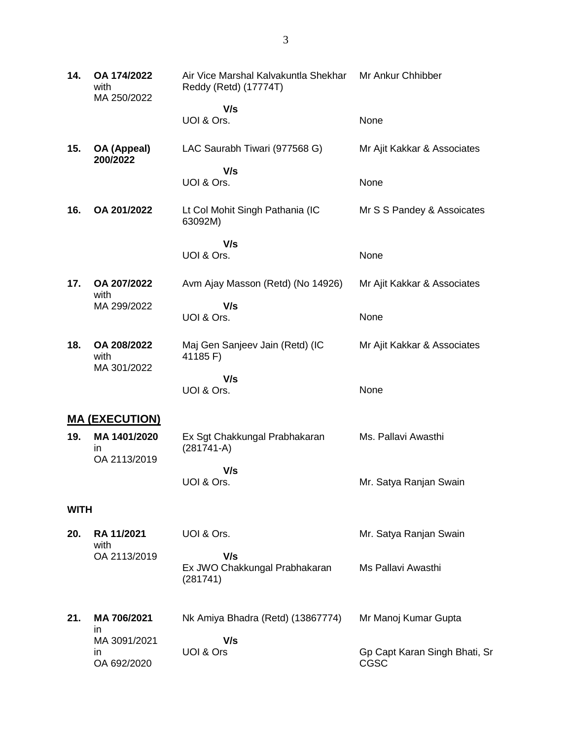| 14.         | OA 174/2022<br>with<br>MA 250/2022      | Air Vice Marshal Kalvakuntla Shekhar<br>Reddy (Retd) (17774T) | Mr Ankur Chhibber                            |
|-------------|-----------------------------------------|---------------------------------------------------------------|----------------------------------------------|
|             |                                         | V/s<br>UOI & Ors.                                             | None                                         |
| 15.         | OA (Appeal)<br>200/2022                 | LAC Saurabh Tiwari (977568 G)                                 | Mr Ajit Kakkar & Associates                  |
|             |                                         | V/s<br>UOI & Ors.                                             | None                                         |
| 16.         | OA 201/2022                             | Lt Col Mohit Singh Pathania (IC<br>63092M)                    | Mr S S Pandey & Assoicates                   |
|             |                                         | V/s<br>UOI & Ors.                                             | None                                         |
| 17.         | OA 207/2022<br>with                     | Avm Ajay Masson (Retd) (No 14926)                             | Mr Ajit Kakkar & Associates                  |
|             | MA 299/2022                             | V/s<br>UOI & Ors.                                             | None                                         |
| 18.         | OA 208/2022<br>with<br>MA 301/2022      | Maj Gen Sanjeev Jain (Retd) (IC<br>41185 F)                   | Mr Ajit Kakkar & Associates                  |
|             |                                         | V/s<br>UOI & Ors.                                             | None                                         |
|             | <b>MA (EXECUTION)</b>                   |                                                               |                                              |
| 19.         | MA 1401/2020<br>in<br>OA 2113/2019      | Ex Sgt Chakkungal Prabhakaran<br>$(281741-A)$                 | Ms. Pallavi Awasthi                          |
|             |                                         | V/s<br>UOI & Ors.                                             | Mr. Satya Ranjan Swain                       |
| <b>WITH</b> |                                         |                                                               |                                              |
| 20.         | RA 11/2021<br>with                      | UOI & Ors.                                                    | Mr. Satya Ranjan Swain                       |
|             | OA 2113/2019                            | V/s<br>Ex JWO Chakkungal Prabhakaran<br>(281741)              | Ms Pallavi Awasthi                           |
| 21.         | MA 706/2021                             | Nk Amiya Bhadra (Retd) (13867774)                             | Mr Manoj Kumar Gupta                         |
|             | in<br>MA 3091/2021<br>in<br>OA 692/2020 | V/s<br>UOI & Ors                                              | Gp Capt Karan Singh Bhati, Sr<br><b>CGSC</b> |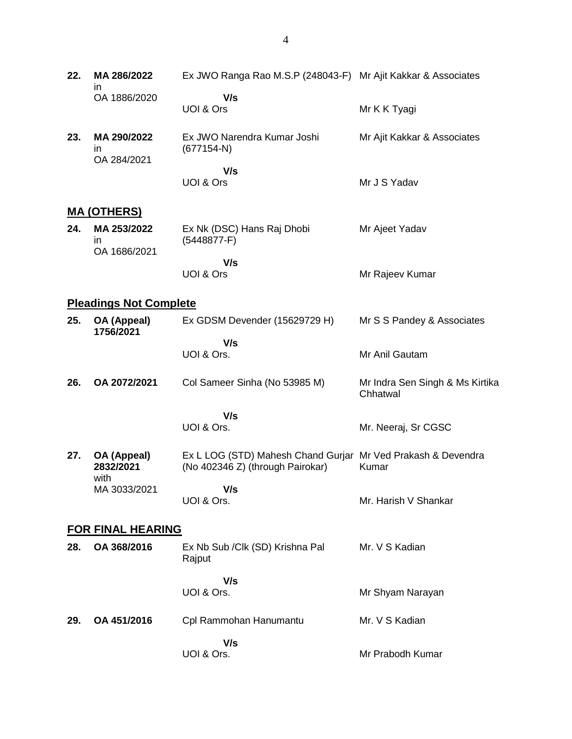| 22.                      | MA 286/2022<br>ın                  | Ex JWO Ranga Rao M.S.P (248043-F) Mr Ajit Kakkar & Associates                                    |                                             |  |
|--------------------------|------------------------------------|--------------------------------------------------------------------------------------------------|---------------------------------------------|--|
|                          | OA 1886/2020                       | V/s<br>UOI & Ors                                                                                 | Mr K K Tyagi                                |  |
| 23.                      | MA 290/2022<br>ın<br>OA 284/2021   | Ex JWO Narendra Kumar Joshi<br>$(677154-N)$                                                      | Mr Ajit Kakkar & Associates                 |  |
|                          |                                    | V/s<br>UOI & Ors                                                                                 | Mr J S Yadav                                |  |
|                          | <u>MA (OTHERS)</u>                 |                                                                                                  |                                             |  |
| 24.                      | MA 253/2022<br>in.<br>OA 1686/2021 | Ex Nk (DSC) Hans Raj Dhobi<br>$(5448877-F)$                                                      | Mr Ajeet Yadav                              |  |
|                          |                                    | V/s<br>UOI & Ors                                                                                 | Mr Rajeev Kumar                             |  |
|                          | <b>Pleadings Not Complete</b>      |                                                                                                  |                                             |  |
| 25.                      | OA (Appeal)<br>1756/2021           | Ex GDSM Devender (15629729 H)                                                                    | Mr S S Pandey & Associates                  |  |
|                          |                                    | V/s<br>UOI & Ors.                                                                                | Mr Anil Gautam                              |  |
| 26.                      | OA 2072/2021                       | Col Sameer Sinha (No 53985 M)                                                                    | Mr Indra Sen Singh & Ms Kirtika<br>Chhatwal |  |
|                          |                                    | V/s<br>UOI & Ors.                                                                                | Mr. Neeraj, Sr CGSC                         |  |
| 27.                      | OA (Appeal)<br>2832/2021           | Ex L LOG (STD) Mahesh Chand Gurjar Mr Ved Prakash & Devendra<br>(No 402346 Z) (through Pairokar) | Kumar                                       |  |
|                          | with<br>MA 3033/2021               | V/s<br>UOI & Ors.                                                                                | Mr. Harish V Shankar                        |  |
| <b>FOR FINAL HEARING</b> |                                    |                                                                                                  |                                             |  |
| 28.                      | OA 368/2016                        | Ex Nb Sub / Clk (SD) Krishna Pal<br>Rajput                                                       | Mr. V S Kadian                              |  |
|                          |                                    | V/s<br>UOI & Ors.                                                                                | Mr Shyam Narayan                            |  |
| 29.                      | OA 451/2016                        | Cpl Rammohan Hanumantu                                                                           | Mr. V S Kadian                              |  |
|                          |                                    | V/s<br>UOI & Ors.                                                                                | Mr Prabodh Kumar                            |  |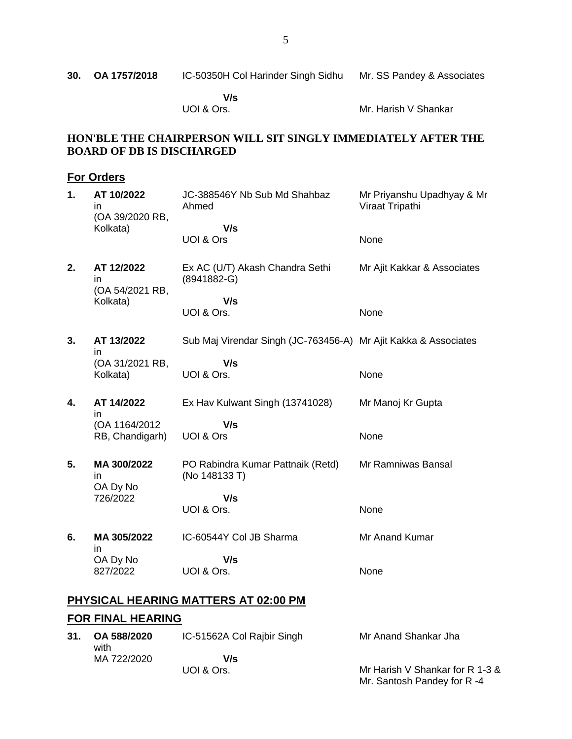|  | 30. OA 1757/2018 | IC-50350H Col Harinder Singh Sidhu | Mr. SS Pandey & Associates |
|--|------------------|------------------------------------|----------------------------|
|--|------------------|------------------------------------|----------------------------|

 **V/s** UOI & Ors.

Mr. Harish V Shankar

## **HON'BLE THE CHAIRPERSON WILL SIT SINGLY IMMEDIATELY AFTER THE BOARD OF DB IS DISCHARGED**

## **For Orders**

| 1. | AT 10/2022<br>in<br>(OA 39/2020 RB, | JC-388546Y Nb Sub Md Shahbaz<br>Ahmed<br>V/s                    | Mr Priyanshu Upadhyay & Mr<br>Viraat Tripathi |
|----|-------------------------------------|-----------------------------------------------------------------|-----------------------------------------------|
|    | Kolkata)                            | UOI & Ors                                                       | None                                          |
| 2. | AT 12/2022<br>in<br>(OA 54/2021 RB, | Ex AC (U/T) Akash Chandra Sethi<br>(8941882-G)                  | Mr Ajit Kakkar & Associates                   |
|    | Kolkata)                            | V/s<br>UOI & Ors.                                               | None                                          |
| 3. | AT 13/2022<br>in                    | Sub Maj Virendar Singh (JC-763456-A) Mr Ajit Kakka & Associates |                                               |
|    | (OA 31/2021 RB,<br>Kolkata)         | V/s<br>UOI & Ors.                                               | None                                          |
| 4. | AT 14/2022<br>in                    | Ex Hav Kulwant Singh (13741028)                                 | Mr Manoj Kr Gupta                             |
|    | (OA 1164/2012)<br>RB, Chandigarh)   | V/s<br>UOI & Ors                                                | None                                          |
| 5. | MA 300/2022<br>in<br>OA Dy No       | PO Rabindra Kumar Pattnaik (Retd)<br>(No 148133 T)              | Mr Ramniwas Bansal                            |
|    | 726/2022                            | V/s<br>UOI & Ors.                                               | None                                          |
| 6. | MA 305/2022<br>in                   | IC-60544Y Col JB Sharma                                         | Mr Anand Kumar                                |
|    | OA Dy No<br>827/2022                | V/s<br>UOI & Ors.                                               | None                                          |
|    |                                     |                                                                 |                                               |

# **PHYSICAL HEARING MATTERS AT 02:00 PM**

# **FOR FINAL HEARING**

| 31. | OA 588/2020<br>with | IC-51562A Col Rajbir Singh | Mr Anand Shankar Jha            |
|-----|---------------------|----------------------------|---------------------------------|
|     | MA 722/2020         | V/s                        |                                 |
|     |                     | UOI & Ors.                 | Mr Harish V Shankar for R 1-3 & |
|     |                     |                            | Mr. Santosh Pandey for R-4      |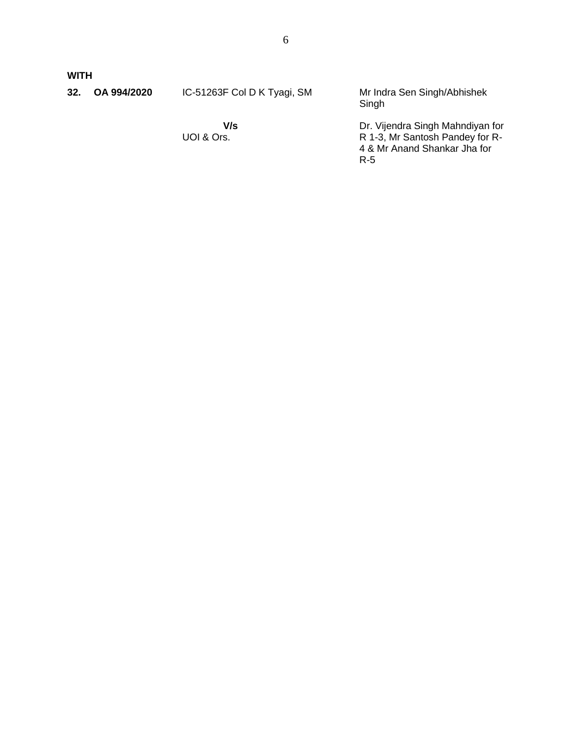**WITH**

| 32. | OA 994/2020 | IC-51263F Col D K Tyagi, SM | Mr Indra Sen Singh/Abhishek<br>Singh                                                                       |
|-----|-------------|-----------------------------|------------------------------------------------------------------------------------------------------------|
|     |             | V/s<br>UOI & Ors.           | Dr. Vijendra Singh Mahndiyan for<br>R 1-3, Mr Santosh Pandey for R-<br>4 & Mr Anand Shankar Jha for<br>R-5 |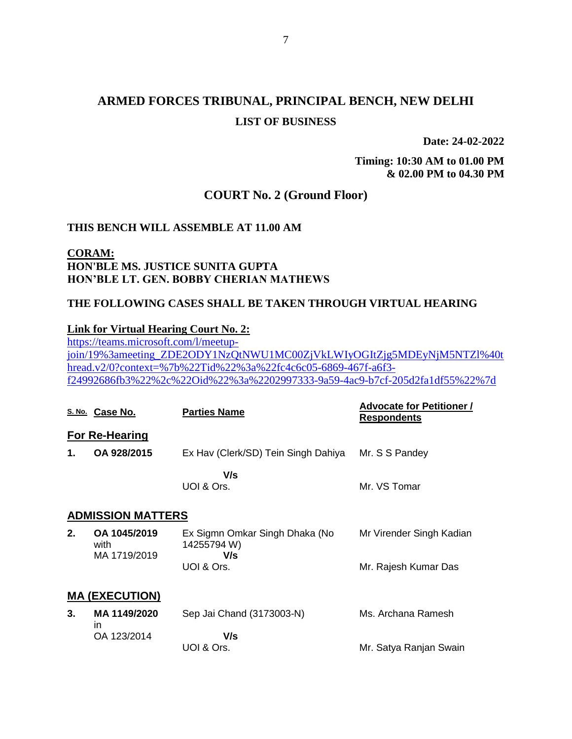# **ARMED FORCES TRIBUNAL, PRINCIPAL BENCH, NEW DELHI LIST OF BUSINESS**

**Date: 24-02-2022**

**Timing: 10:30 AM to 01.00 PM & 02.00 PM to 04.30 PM**

# **COURT No. 2 (Ground Floor)**

### **THIS BENCH WILL ASSEMBLE AT 11.00 AM**

### **CORAM: HON'BLE MS. JUSTICE SUNITA GUPTA HON'BLE LT. GEN. BOBBY CHERIAN MATHEWS**

### **THE FOLLOWING CASES SHALL BE TAKEN THROUGH VIRTUAL HEARING**

#### **Link for Virtual Hearing Court No. 2:**

[https://teams.microsoft.com/l/meetup](https://teams.microsoft.com/l/meetup-join/19%3ameeting_ZDE2ODY1NzQtNWU1MC00ZjVkLWIyOGItZjg5MDEyNjM5NTZl%40thread.v2/0?context=%7b%22Tid%22%3a%22fc4c6c05-6869-467f-a6f3-f24992686fb3%22%2c%22Oid%22%3a%2202997333-9a59-4ac9-b7cf-205d2fa1df55%22%7d)[join/19%3ameeting\\_ZDE2ODY1NzQtNWU1MC00ZjVkLWIyOGItZjg5MDEyNjM5NTZl%40t](https://teams.microsoft.com/l/meetup-join/19%3ameeting_ZDE2ODY1NzQtNWU1MC00ZjVkLWIyOGItZjg5MDEyNjM5NTZl%40thread.v2/0?context=%7b%22Tid%22%3a%22fc4c6c05-6869-467f-a6f3-f24992686fb3%22%2c%22Oid%22%3a%2202997333-9a59-4ac9-b7cf-205d2fa1df55%22%7d) [hread.v2/0?context=%7b%22Tid%22%3a%22fc4c6c05-6869-467f-a6f3](https://teams.microsoft.com/l/meetup-join/19%3ameeting_ZDE2ODY1NzQtNWU1MC00ZjVkLWIyOGItZjg5MDEyNjM5NTZl%40thread.v2/0?context=%7b%22Tid%22%3a%22fc4c6c05-6869-467f-a6f3-f24992686fb3%22%2c%22Oid%22%3a%2202997333-9a59-4ac9-b7cf-205d2fa1df55%22%7d) [f24992686fb3%22%2c%22Oid%22%3a%2202997333-9a59-4ac9-b7cf-205d2fa1df55%22%7d](https://teams.microsoft.com/l/meetup-join/19%3ameeting_ZDE2ODY1NzQtNWU1MC00ZjVkLWIyOGItZjg5MDEyNjM5NTZl%40thread.v2/0?context=%7b%22Tid%22%3a%22fc4c6c05-6869-467f-a6f3-f24992686fb3%22%2c%22Oid%22%3a%2202997333-9a59-4ac9-b7cf-205d2fa1df55%22%7d)

|                       | S. No. Case No.                      | <b>Parties Name</b>                                  | <b>Advocate for Petitioner /</b><br><b>Respondents</b> |  |
|-----------------------|--------------------------------------|------------------------------------------------------|--------------------------------------------------------|--|
|                       | For Re-Hearing                       |                                                      |                                                        |  |
| 1.                    | OA 928/2015                          | Ex Hav (Clerk/SD) Tein Singh Dahiya                  | Mr. S S Pandey                                         |  |
|                       |                                      | V/s<br>UOI & Ors.                                    | Mr. VS Tomar                                           |  |
|                       | <b>ADMISSION MATTERS</b>             |                                                      |                                                        |  |
| 2.                    | OA 1045/2019<br>with<br>MA 1719/2019 | Ex Sigmn Omkar Singh Dhaka (No<br>14255794 W)<br>V/s | Mr Virender Singh Kadian                               |  |
|                       |                                      | UOI & Ors.                                           | Mr. Rajesh Kumar Das                                   |  |
| <b>MA (EXECUTION)</b> |                                      |                                                      |                                                        |  |
| 3.                    | MA 1149/2020                         | Sep Jai Chand (3173003-N)                            | Ms. Archana Ramesh                                     |  |
|                       | in<br>OA 123/2014                    | V/s<br>UOI & Ors.                                    | Mr. Satya Ranjan Swain                                 |  |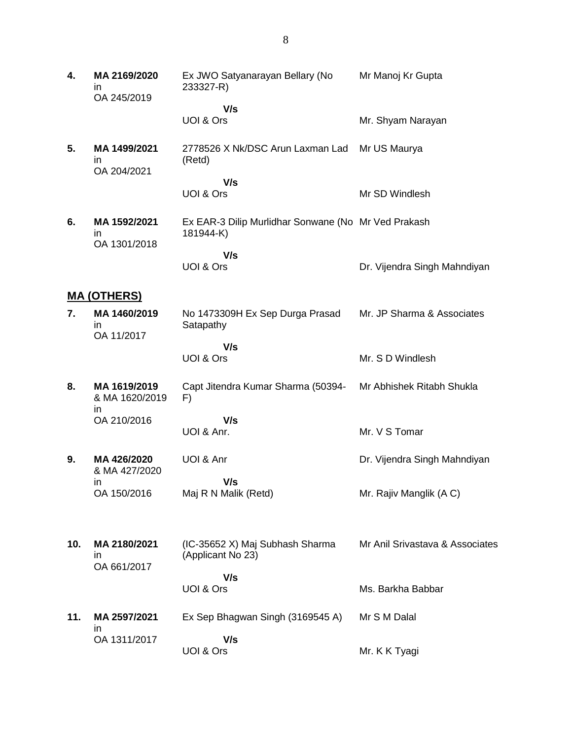**4. MA 2169/2020** in OA 245/2019 Ex JWO Satyanarayan Bellary (No 233327-R)  **V/s** UOI & Ors Mr Manoj Kr Gupta Mr. Shyam Narayan **5. MA 1499/2021** in OA 204/2021 2778526 X Nk/DSC Arun Laxman Lad Mr US Maurya (Retd)  **V/s** UOI & Ors Mr SD Windlesh **6. MA 1592/2021** in OA 1301/2018 Ex EAR-3 Dilip Murlidhar Sonwane (No Mr Ved Prakash 181944-K)  **V/s** UOI & Ors Dr. Vijendra Singh Mahndiyan **MA (OTHERS) 7. MA 1460/2019** in OA 11/2017 No 1473309H Ex Sep Durga Prasad **Satapathy V/s** UOI & Ors Mr. JP Sharma & Associates Mr. S D Windlesh **8. MA 1619/2019** & MA 1620/2019 in OA 210/2016 Capt Jitendra Kumar Sharma (50394- F)  **V/s** UOI & Anr. Mr Abhishek Ritabh Shukla Mr. V S Tomar **9. MA 426/2020** & MA 427/2020 in OA 150/2016 UOI & Anr  **V/s** Maj R N Malik (Retd) Dr. Vijendra Singh Mahndiyan Mr. Rajiv Manglik (A C) **10. MA 2180/2021** in OA 661/2017 (IC-35652 X) Maj Subhash Sharma (Applicant No 23)  **V/s** UOI & Ors Mr Anil Srivastava & Associates Ms. Barkha Babbar **11. MA 2597/2021** in OA 1311/2017 Ex Sep Bhagwan Singh (3169545 A)  **V/s** UOI & Ors Mr S M Dalal Mr. K K Tyagi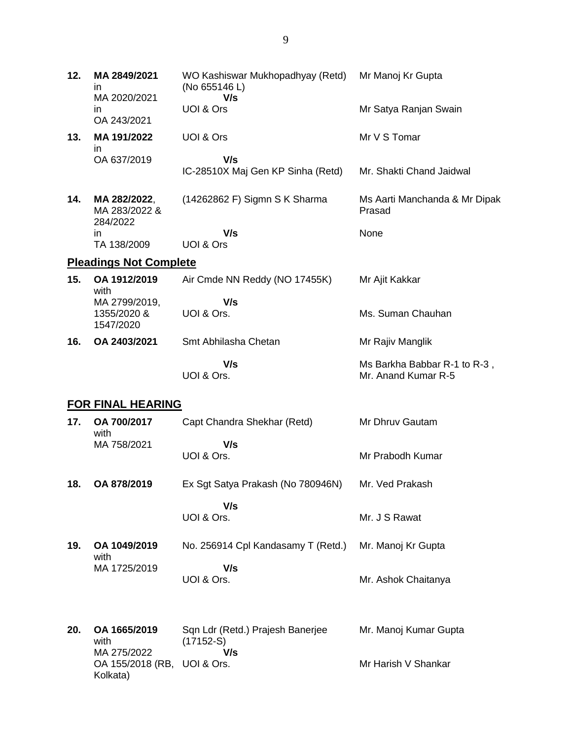| 12.                      | MA 2849/2021<br>in.<br>MA 2020/2021<br>in. | WO Kashiswar Mukhopadhyay (Retd)<br>(No 655146 L)<br>V/s<br>UOI & Ors | Mr Manoj Kr Gupta<br>Mr Satya Ranjan Swain          |  |
|--------------------------|--------------------------------------------|-----------------------------------------------------------------------|-----------------------------------------------------|--|
| 13.                      | OA 243/2021<br>MA 191/2022<br>$\mathsf{I}$ | UOI & Ors                                                             | Mr V S Tomar                                        |  |
|                          | OA 637/2019                                | V/s<br>IC-28510X Maj Gen KP Sinha (Retd)                              | Mr. Shakti Chand Jaidwal                            |  |
| 14.                      | MA 282/2022,<br>MA 283/2022 &<br>284/2022  | (14262862 F) Sigmn S K Sharma                                         | Ms Aarti Manchanda & Mr Dipak<br>Prasad             |  |
|                          | in.<br>TA 138/2009                         | V/s<br>UOI & Ors                                                      | None                                                |  |
|                          | <b>Pleadings Not Complete</b>              |                                                                       |                                                     |  |
| 15.                      | OA 1912/2019<br>with                       | Air Cmde NN Reddy (NO 17455K)                                         | Mr Ajit Kakkar                                      |  |
|                          | MA 2799/2019,<br>1355/2020 &<br>1547/2020  | V/s<br>UOI & Ors.                                                     | Ms. Suman Chauhan                                   |  |
| 16.                      | OA 2403/2021                               | Smt Abhilasha Chetan                                                  | Mr Rajiv Manglik                                    |  |
|                          |                                            | V/s<br>UOI & Ors.                                                     | Ms Barkha Babbar R-1 to R-3,<br>Mr. Anand Kumar R-5 |  |
| <b>FOR FINAL HEARING</b> |                                            |                                                                       |                                                     |  |
| 17.                      | OA 700/2017<br>with                        | Capt Chandra Shekhar (Retd)                                           | Mr Dhruv Gautam                                     |  |
|                          | MA 758/2021                                | V/s<br>UOI & Ors.                                                     | Mr Prabodh Kumar                                    |  |

**18. OA 878/2019** Ex Sgt Satya Prakash (No 780946N) Mr. Ved Prakash

 **V/s** UOI & Ors.

**19. OA 1049/2019** with MA 1725/2019 No. 256914 Cpl Kandasamy T (Retd.)  **V/s** UOI & Ors. Mr. Manoj Kr Gupta Mr. Ashok Chaitanya

Mr. J S Rawat

**20. OA 1665/2019** with MA 275/2022 OA 155/2018 (RB, UOI & Ors. Kolkata) Sqn Ldr (Retd.) Prajesh Banerjee  $(17152-S)$  **V/s** Mr. Manoj Kumar Gupta Mr Harish V Shankar